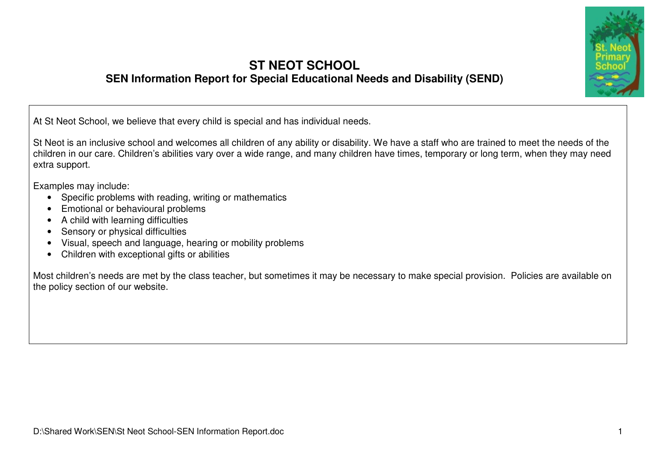

#### **ST NEOT SCHOOL SEN Information Report for Special Educational Needs and Disability (SEND)**

At St Neot School, we believe that every child is special and has individual needs.

St Neot is an inclusive school and welcomes all children of any ability or disability. We have a staff who are trained to meet the needs of the children in our care. Children's abilities vary over a wide range, and many children have times, temporary or long term, when they may need extra support.

Examples may include:

- Specific problems with reading, writing or mathematics
- Emotional or behavioural problems
- A child with learning difficulties
- Sensory or physical difficulties
- Visual, speech and language, hearing or mobility problems
- Children with exceptional gifts or abilities

Most children's needs are met by the class teacher, but sometimes it may be necessary to make special provision. Policies are available on the policy section of our website.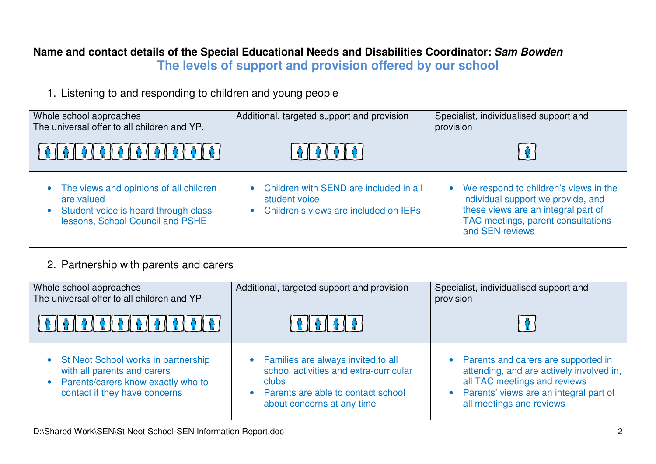### **Name and contact details of the Special Educational Needs and Disabilities Coordinator: Sam BowdenThe levels of support and provision offered by our school**

1. Listening to and responding to children and young people

| Whole school approaches<br>The universal offer to all children and YP.                                                           | Additional, targeted support and provision                                                       | Specialist, individualised support and<br>provision                                                                                                                           |
|----------------------------------------------------------------------------------------------------------------------------------|--------------------------------------------------------------------------------------------------|-------------------------------------------------------------------------------------------------------------------------------------------------------------------------------|
|                                                                                                                                  | <b>A I A I A I A</b> I                                                                           |                                                                                                                                                                               |
| The views and opinions of all children<br>are valued<br>Student voice is heard through class<br>lessons, School Council and PSHE | Children with SEND are included in all<br>student voice<br>Children's views are included on IEPs | • We respond to children's views in the<br>individual support we provide, and<br>these views are an integral part of<br>TAC meetings, parent consultations<br>and SEN reviews |

#### 2. Partnership with parents and carers

| Whole school approaches<br>The universal offer to all children and YP                                                                         | Additional, targeted support and provision                                                                                                                    | Specialist, individualised support and<br>provision                                                                                                                                   |
|-----------------------------------------------------------------------------------------------------------------------------------------------|---------------------------------------------------------------------------------------------------------------------------------------------------------------|---------------------------------------------------------------------------------------------------------------------------------------------------------------------------------------|
|                                                                                                                                               |                                                                                                                                                               |                                                                                                                                                                                       |
| • St Neot School works in partnership<br>with all parents and carers<br>• Parents/carers know exactly who to<br>contact if they have concerns | • Families are always invited to all<br>school activities and extra-curricular<br>clubs<br>• Parents are able to contact school<br>about concerns at any time | Parents and carers are supported in<br>attending, and are actively involved in,<br>all TAC meetings and reviews<br>Parents' views are an integral part of<br>all meetings and reviews |

D:\Shared Work\SEN\St Neot School-SEN Information Report.doc 2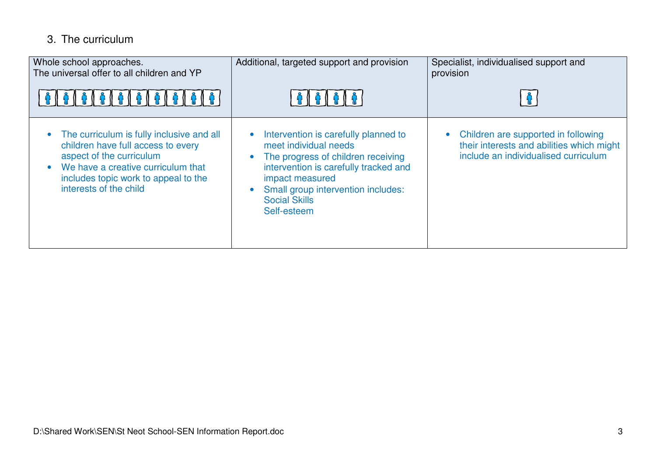# 3. The curriculum

| Whole school approaches.<br>The universal offer to all children and YP                                                                                                                                              | Additional, targeted support and provision<br>' ନା በ ନା ନା ନା ነ                                                                                                                                                                              | Specialist, individualised support and<br>provision                                                                                   |
|---------------------------------------------------------------------------------------------------------------------------------------------------------------------------------------------------------------------|----------------------------------------------------------------------------------------------------------------------------------------------------------------------------------------------------------------------------------------------|---------------------------------------------------------------------------------------------------------------------------------------|
| The curriculum is fully inclusive and all<br>children have full access to every<br>aspect of the curriculum<br>We have a creative curriculum that<br>includes topic work to appeal to the<br>interests of the child | Intervention is carefully planned to<br>meet individual needs<br>The progress of children receiving<br>intervention is carefully tracked and<br>impact measured<br>Small group intervention includes:<br><b>Social Skills</b><br>Self-esteem | Children are supported in following<br>$\bullet$<br>their interests and abilities which might<br>include an individualised curriculum |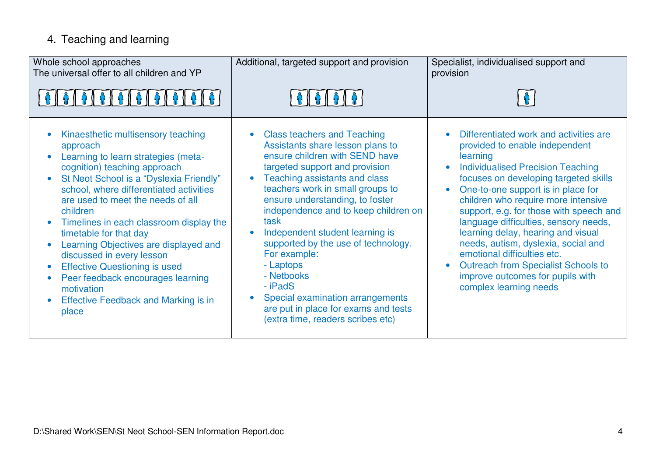# 4. Teaching and learning

| Whole school approaches<br>The universal offer to all children and YP                                                                                                                                                                                                                                                                                                                                                                                                                                                                                                                                                       | Additional, targeted support and provision                                                                                                                                                                                                                                                                                                                                                                                                                                                                                                          | Specialist, individualised support and<br>provision                                                                                                                                                                                                                                                                                                                                                                                                                                                                                                                             |
|-----------------------------------------------------------------------------------------------------------------------------------------------------------------------------------------------------------------------------------------------------------------------------------------------------------------------------------------------------------------------------------------------------------------------------------------------------------------------------------------------------------------------------------------------------------------------------------------------------------------------------|-----------------------------------------------------------------------------------------------------------------------------------------------------------------------------------------------------------------------------------------------------------------------------------------------------------------------------------------------------------------------------------------------------------------------------------------------------------------------------------------------------------------------------------------------------|---------------------------------------------------------------------------------------------------------------------------------------------------------------------------------------------------------------------------------------------------------------------------------------------------------------------------------------------------------------------------------------------------------------------------------------------------------------------------------------------------------------------------------------------------------------------------------|
|                                                                                                                                                                                                                                                                                                                                                                                                                                                                                                                                                                                                                             |                                                                                                                                                                                                                                                                                                                                                                                                                                                                                                                                                     |                                                                                                                                                                                                                                                                                                                                                                                                                                                                                                                                                                                 |
| Kinaesthetic multisensory teaching<br>approach<br>Learning to learn strategies (meta-<br>cognition) teaching approach<br>St Neot School is a "Dyslexia Friendly"<br>$\bullet$<br>school, where differentiated activities<br>are used to meet the needs of all<br>children<br>Timelines in each classroom display the<br>$\bullet$<br>timetable for that day<br>Learning Objectives are displayed and<br>$\bullet$<br>discussed in every lesson<br><b>Effective Questioning is used</b><br>$\bullet$<br>Peer feedback encourages learning<br>$\bullet$<br>motivation<br><b>Effective Feedback and Marking is in</b><br>place | <b>Class teachers and Teaching</b><br>Assistants share lesson plans to<br>ensure children with SEND have<br>targeted support and provision<br>Teaching assistants and class<br>teachers work in small groups to<br>ensure understanding, to foster<br>independence and to keep children on<br>task<br>Independent student learning is<br>supported by the use of technology.<br>For example:<br>- Laptops<br>- Netbooks<br>- iPadS<br>Special examination arrangements<br>are put in place for exams and tests<br>(extra time, readers scribes etc) | Differentiated work and activities are<br>provided to enable independent<br>learning<br><b>Individualised Precision Teaching</b><br>$\bullet$<br>focuses on developing targeted skills<br>One-to-one support is in place for<br>children who require more intensive<br>support, e.g. for those with speech and<br>language difficulties, sensory needs,<br>learning delay, hearing and visual<br>needs, autism, dyslexia, social and<br>emotional difficulties etc.<br><b>Outreach from Specialist Schools to</b><br>improve outcomes for pupils with<br>complex learning needs |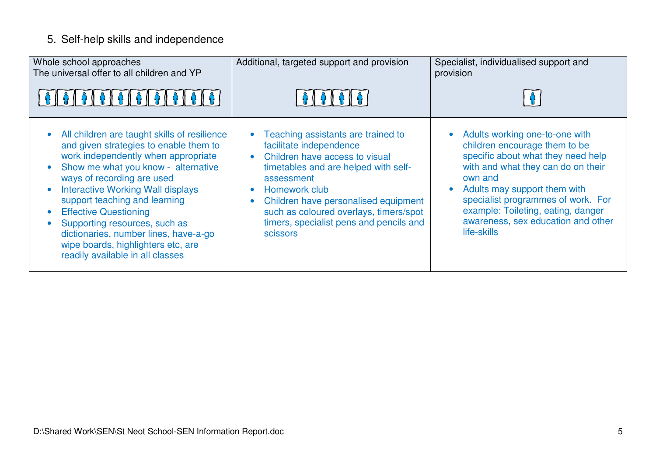## 5. Self-help skills and independence

| Whole school approaches<br>The universal offer to all children and YP                                                                                                                                                                                                                                                                                                                                                                                                            | Additional, targeted support and provision<br><b>8161616</b>                                                                                                                                                                                                                                                    | Specialist, individualised support and<br>provision                                                                                                                                                                                                                                                                     |
|----------------------------------------------------------------------------------------------------------------------------------------------------------------------------------------------------------------------------------------------------------------------------------------------------------------------------------------------------------------------------------------------------------------------------------------------------------------------------------|-----------------------------------------------------------------------------------------------------------------------------------------------------------------------------------------------------------------------------------------------------------------------------------------------------------------|-------------------------------------------------------------------------------------------------------------------------------------------------------------------------------------------------------------------------------------------------------------------------------------------------------------------------|
| All children are taught skills of resilience<br>and given strategies to enable them to<br>work independently when appropriate<br>Show me what you know - alternative<br>ways of recording are used<br><b>Interactive Working Wall displays</b><br>support teaching and learning<br><b>Effective Questioning</b><br>$\bullet$<br>Supporting resources, such as<br>dictionaries, number lines, have-a-go<br>wipe boards, highlighters etc, are<br>readily available in all classes | Teaching assistants are trained to<br>facilitate independence<br>Children have access to visual<br>timetables and are helped with self-<br>assessment<br>Homework club<br>Children have personalised equipment<br>such as coloured overlays, timers/spot<br>timers, specialist pens and pencils and<br>scissors | Adults working one-to-one with<br>children encourage them to be<br>specific about what they need help<br>with and what they can do on their<br>own and<br>Adults may support them with<br>specialist programmes of work. For<br>example: Toileting, eating, danger<br>awareness, sex education and other<br>life-skills |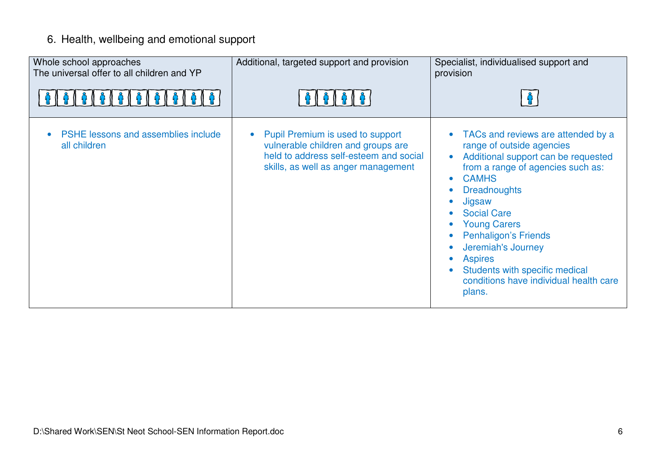## 6. Health, wellbeing and emotional support

| Whole school approaches<br>The universal offer to all children and YP | Additional, targeted support and provision                                                                                                              | Specialist, individualised support and<br>provision                                                                                                                                                                                                                                                                                                                                                                 |
|-----------------------------------------------------------------------|---------------------------------------------------------------------------------------------------------------------------------------------------------|---------------------------------------------------------------------------------------------------------------------------------------------------------------------------------------------------------------------------------------------------------------------------------------------------------------------------------------------------------------------------------------------------------------------|
|                                                                       |                                                                                                                                                         |                                                                                                                                                                                                                                                                                                                                                                                                                     |
| PSHE lessons and assemblies include<br>all children                   | Pupil Premium is used to support<br>vulnerable children and groups are<br>held to address self-esteem and social<br>skills, as well as anger management | TACs and reviews are attended by a<br>range of outside agencies<br>Additional support can be requested<br>from a range of agencies such as:<br><b>CAMHS</b><br>$\bullet$<br><b>Dreadnoughts</b><br>Jigsaw<br><b>Social Care</b><br><b>Young Carers</b><br><b>Penhaligon's Friends</b><br>Jeremiah's Journey<br><b>Aspires</b><br>Students with specific medical<br>conditions have individual health care<br>plans. |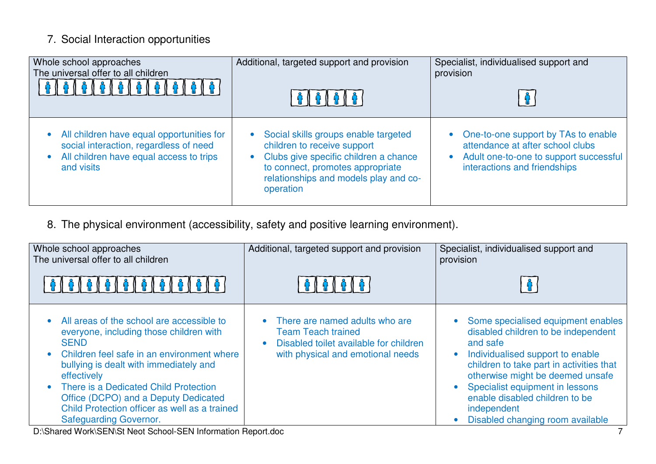# 7. Social Interaction opportunities

| Whole school approaches                                                                                                                      | Additional, targeted support and provision                                                                                                                                                             | Specialist, individualised support and                                                                                                                           |
|----------------------------------------------------------------------------------------------------------------------------------------------|--------------------------------------------------------------------------------------------------------------------------------------------------------------------------------------------------------|------------------------------------------------------------------------------------------------------------------------------------------------------------------|
| The universal offer to all children                                                                                                          | <b>A   A   A   A</b>                                                                                                                                                                                   | provision                                                                                                                                                        |
| All children have equal opportunities for<br>social interaction, regardless of need<br>All children have equal access to trips<br>and visits | Social skills groups enable targeted<br>children to receive support<br>Clubs give specific children a chance<br>to connect, promotes appropriate<br>relationships and models play and co-<br>operation | • One-to-one support by TAs to enable<br>attendance at after school clubs<br>Adult one-to-one to support successful<br>$\bullet$<br>interactions and friendships |

8. The physical environment (accessibility, safety and positive learning environment).

| Whole school approaches<br>The universal offer to all children                                                                                                                                                                                                                                                                                                                      | Additional, targeted support and provision                                                                                                                | Specialist, individualised support and<br>provision                                                                                                                                                                                                                                                                                                         |
|-------------------------------------------------------------------------------------------------------------------------------------------------------------------------------------------------------------------------------------------------------------------------------------------------------------------------------------------------------------------------------------|-----------------------------------------------------------------------------------------------------------------------------------------------------------|-------------------------------------------------------------------------------------------------------------------------------------------------------------------------------------------------------------------------------------------------------------------------------------------------------------------------------------------------------------|
|                                                                                                                                                                                                                                                                                                                                                                                     | <b>የ∥ Ω ∥ Ω ∟</b>                                                                                                                                         |                                                                                                                                                                                                                                                                                                                                                             |
| • All areas of the school are accessible to<br>everyone, including those children with<br><b>SEND</b><br>• Children feel safe in an environment where<br>bullying is dealt with immediately and<br>effectively<br>• There is a Dedicated Child Protection<br>Office (DCPO) and a Deputy Dedicated<br>Child Protection officer as well as a trained<br><b>Safeguarding Governor.</b> | • There are named adults who are<br><b>Team Teach trained</b><br>Disabled toilet available for children<br>$\bullet$<br>with physical and emotional needs | Some specialised equipment enables<br>$\bullet$<br>disabled children to be independent<br>and safe<br>Individualised support to enable<br>$\bullet$<br>children to take part in activities that<br>otherwise might be deemed unsafe<br>Specialist equipment in lessons<br>enable disabled children to be<br>independent<br>Disabled changing room available |

D:\Shared Work\SEN\St Neot School-SEN Information Report.doc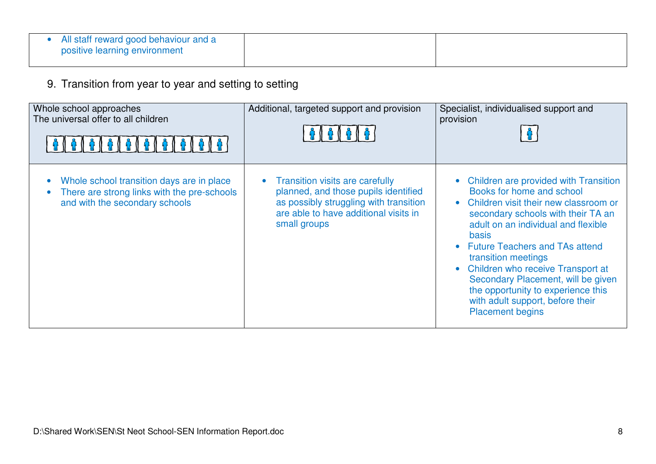| All staff reward good behaviour and a<br>positive learning environment |  |
|------------------------------------------------------------------------|--|
|                                                                        |  |

9. Transition from year to year and setting to setting

| Whole school approaches<br>The universal offer to all children                                                                          | Additional, targeted support and provision                                                                                                                                                     | Specialist, individualised support and<br>provision                                                                                                                                                                                                                                                                                                                                                                                                                                                          |
|-----------------------------------------------------------------------------------------------------------------------------------------|------------------------------------------------------------------------------------------------------------------------------------------------------------------------------------------------|--------------------------------------------------------------------------------------------------------------------------------------------------------------------------------------------------------------------------------------------------------------------------------------------------------------------------------------------------------------------------------------------------------------------------------------------------------------------------------------------------------------|
| Whole school transition days are in place<br>$\bullet$<br>There are strong links with the pre-schools<br>and with the secondary schools | <b>Transition visits are carefully</b><br>$\bullet$<br>planned, and those pupils identified<br>as possibly struggling with transition<br>are able to have additional visits in<br>small groups | Children are provided with Transition<br>$\bullet$<br>Books for home and school<br>Children visit their new classroom or<br>$\bullet$<br>secondary schools with their TA an<br>adult on an individual and flexible<br><b>basis</b><br><b>Future Teachers and TAs attend</b><br>$\bullet$<br>transition meetings<br>Children who receive Transport at<br>$\bullet$<br>Secondary Placement, will be given<br>the opportunity to experience this<br>with adult support, before their<br><b>Placement begins</b> |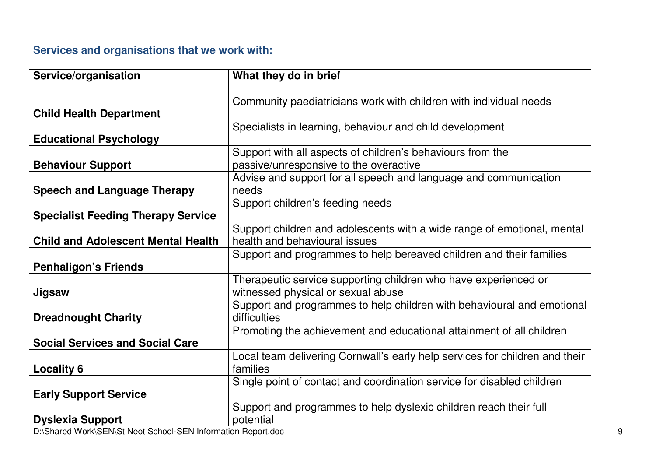### **Services and organisations that we work with:**

| Service/organisation                                         | What they do in brief                                                       |
|--------------------------------------------------------------|-----------------------------------------------------------------------------|
|                                                              | Community paediatricians work with children with individual needs           |
| <b>Child Health Department</b>                               |                                                                             |
|                                                              | Specialists in learning, behaviour and child development                    |
| <b>Educational Psychology</b>                                |                                                                             |
|                                                              | Support with all aspects of children's behaviours from the                  |
| <b>Behaviour Support</b>                                     | passive/unresponsive to the overactive                                      |
|                                                              | Advise and support for all speech and language and communication            |
| <b>Speech and Language Therapy</b>                           | needs                                                                       |
|                                                              | Support children's feeding needs                                            |
| <b>Specialist Feeding Therapy Service</b>                    |                                                                             |
|                                                              | Support children and adolescents with a wide range of emotional, mental     |
| <b>Child and Adolescent Mental Health</b>                    | health and behavioural issues                                               |
|                                                              | Support and programmes to help bereaved children and their families         |
| <b>Penhaligon's Friends</b>                                  |                                                                             |
|                                                              | Therapeutic service supporting children who have experienced or             |
| Jigsaw                                                       | witnessed physical or sexual abuse                                          |
|                                                              | Support and programmes to help children with behavioural and emotional      |
| <b>Dreadnought Charity</b>                                   | difficulties                                                                |
|                                                              | Promoting the achievement and educational attainment of all children        |
| <b>Social Services and Social Care</b>                       |                                                                             |
|                                                              | Local team delivering Cornwall's early help services for children and their |
| <b>Locality 6</b>                                            | families                                                                    |
|                                                              | Single point of contact and coordination service for disabled children      |
| <b>Early Support Service</b>                                 |                                                                             |
|                                                              | Support and programmes to help dyslexic children reach their full           |
| <b>Dyslexia Support</b>                                      | potential                                                                   |
| D:\Shared Work\SEN\St Neot School-SEN Information Report.doc |                                                                             |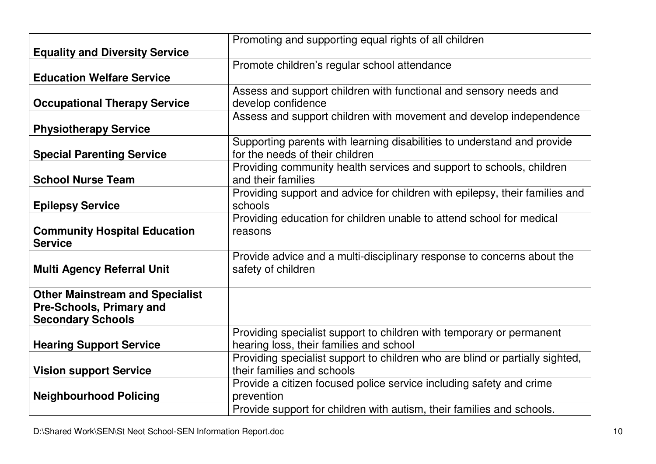|                                        | Promoting and supporting equal rights of all children                        |
|----------------------------------------|------------------------------------------------------------------------------|
| <b>Equality and Diversity Service</b>  |                                                                              |
|                                        | Promote children's regular school attendance                                 |
| <b>Education Welfare Service</b>       |                                                                              |
|                                        | Assess and support children with functional and sensory needs and            |
| <b>Occupational Therapy Service</b>    | develop confidence                                                           |
|                                        | Assess and support children with movement and develop independence           |
| <b>Physiotherapy Service</b>           |                                                                              |
|                                        | Supporting parents with learning disabilities to understand and provide      |
| <b>Special Parenting Service</b>       | for the needs of their children                                              |
|                                        | Providing community health services and support to schools, children         |
| <b>School Nurse Team</b>               | and their families                                                           |
|                                        | Providing support and advice for children with epilepsy, their families and  |
| <b>Epilepsy Service</b>                | schools                                                                      |
|                                        | Providing education for children unable to attend school for medical         |
| <b>Community Hospital Education</b>    | reasons                                                                      |
| <b>Service</b>                         |                                                                              |
|                                        | Provide advice and a multi-disciplinary response to concerns about the       |
| <b>Multi Agency Referral Unit</b>      | safety of children                                                           |
|                                        |                                                                              |
| <b>Other Mainstream and Specialist</b> |                                                                              |
| <b>Pre-Schools, Primary and</b>        |                                                                              |
| <b>Secondary Schools</b>               |                                                                              |
|                                        | Providing specialist support to children with temporary or permanent         |
| <b>Hearing Support Service</b>         | hearing loss, their families and school                                      |
|                                        | Providing specialist support to children who are blind or partially sighted, |
| <b>Vision support Service</b>          | their families and schools                                                   |
|                                        | Provide a citizen focused police service including safety and crime          |
| <b>Neighbourhood Policing</b>          | prevention                                                                   |
|                                        | Provide support for children with autism, their families and schools.        |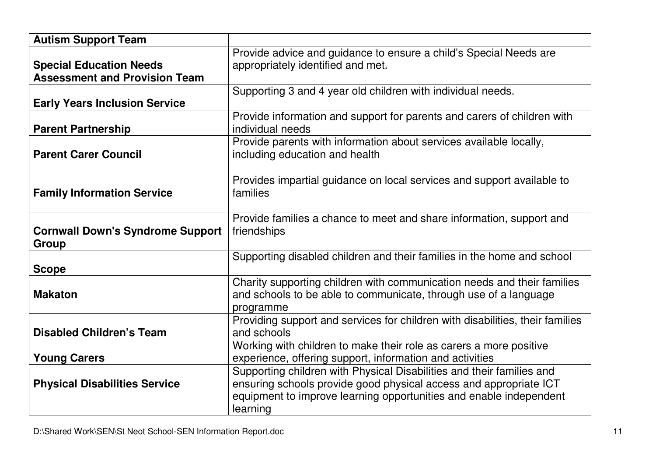| <b>Autism Support Team</b>                                             |                                                                                                                                                                                                                              |
|------------------------------------------------------------------------|------------------------------------------------------------------------------------------------------------------------------------------------------------------------------------------------------------------------------|
| <b>Special Education Needs</b><br><b>Assessment and Provision Team</b> | Provide advice and guidance to ensure a child's Special Needs are<br>appropriately identified and met.                                                                                                                       |
| <b>Early Years Inclusion Service</b>                                   | Supporting 3 and 4 year old children with individual needs.                                                                                                                                                                  |
| <b>Parent Partnership</b>                                              | Provide information and support for parents and carers of children with<br>individual needs                                                                                                                                  |
| <b>Parent Carer Council</b>                                            | Provide parents with information about services available locally,<br>including education and health                                                                                                                         |
| <b>Family Information Service</b>                                      | Provides impartial guidance on local services and support available to<br>families                                                                                                                                           |
| <b>Cornwall Down's Syndrome Support</b><br>Group                       | Provide families a chance to meet and share information, support and<br>friendships                                                                                                                                          |
| <b>Scope</b>                                                           | Supporting disabled children and their families in the home and school                                                                                                                                                       |
| <b>Makaton</b>                                                         | Charity supporting children with communication needs and their families<br>and schools to be able to communicate, through use of a language<br>programme                                                                     |
| <b>Disabled Children's Team</b>                                        | Providing support and services for children with disabilities, their families<br>and schools                                                                                                                                 |
| <b>Young Carers</b>                                                    | Working with children to make their role as carers a more positive<br>experience, offering support, information and activities                                                                                               |
| <b>Physical Disabilities Service</b>                                   | Supporting children with Physical Disabilities and their families and<br>ensuring schools provide good physical access and appropriate ICT<br>equipment to improve learning opportunities and enable independent<br>learning |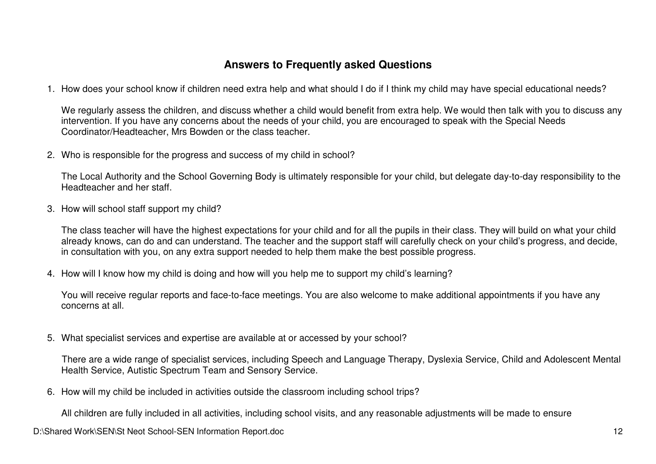#### **Answers to Frequently asked Questions**

1. How does your school know if children need extra help and what should I do if I think my child may have special educational needs?

We regularly assess the children, and discuss whether a child would benefit from extra help. We would then talk with you to discuss any intervention. If you have any concerns about the needs of your child, you are encouraged to speak with the Special Needs Coordinator/Headteacher, Mrs Bowden or the class teacher.

2. Who is responsible for the progress and success of my child in school?

The Local Authority and the School Governing Body is ultimately responsible for your child, but delegate day-to-day responsibility to the Headteacher and her staff.

3. How will school staff support my child?

The class teacher will have the highest expectations for your child and for all the pupils in their class. They will build on what your child already knows, can do and can understand. The teacher and the support staff will carefully check on your child's progress, and decide, in consultation with you, on any extra support needed to help them make the best possible progress.

4. How will I know how my child is doing and how will you help me to support my child's learning?

You will receive regular reports and face-to-face meetings. You are also welcome to make additional appointments if you have any concerns at all.

5. What specialist services and expertise are available at or accessed by your school?

There are a wide range of specialist services, including Speech and Language Therapy, Dyslexia Service, Child and Adolescent Mental Health Service, Autistic Spectrum Team and Sensory Service.

6. How will my child be included in activities outside the classroom including school trips?

All children are fully included in all activities, including school visits, and any reasonable adjustments will be made to ensure

D:\Shared Work\SEN\St Neot School-SEN Information Report.doc 12